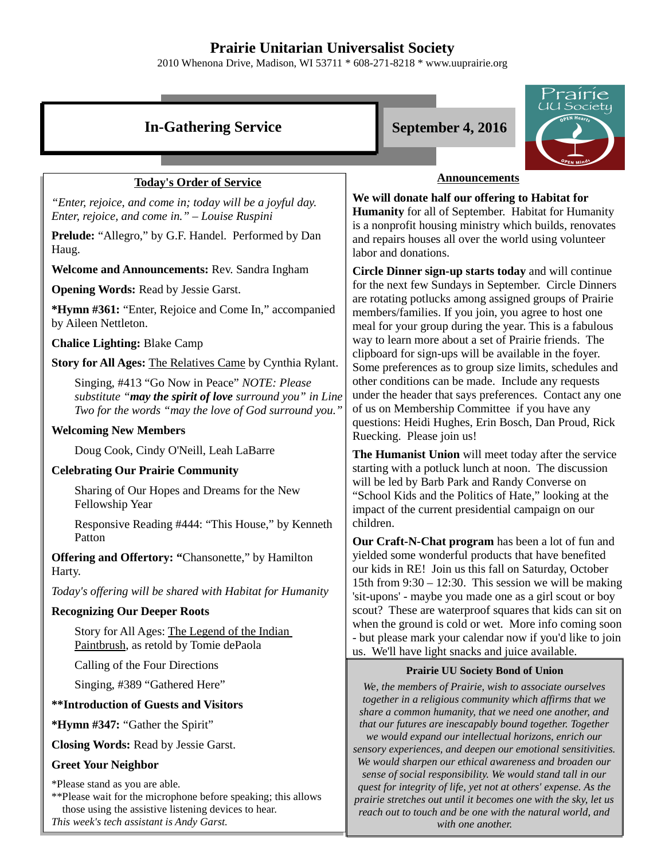## **Prairie Unitarian Universalist Society**

2010 Whenona Drive, Madison, WI 53711 \* 608-271-8218 \* www.uuprairie.org



*with one another.* 

*This week's tech assistant is Andy Garst.*